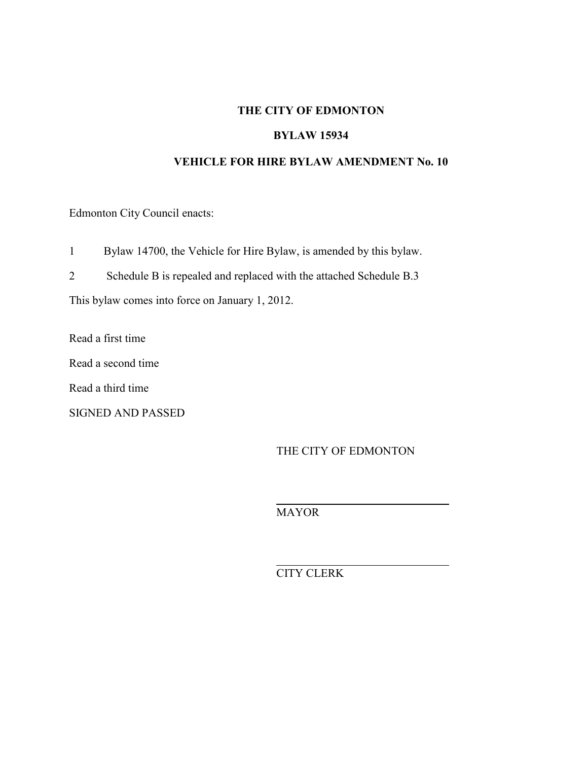### **THE CITY OF EDMONTON**

#### **BYLAW 15934**

#### **VEHICLE FOR HIRE BYLAW AMENDMENT No. 10**

Edmonton City Council enacts:

1 Bylaw 14700, the Vehicle for Hire Bylaw, is amended by this bylaw.

2 Schedule B is repealed and replaced with the attached Schedule B.3

This bylaw comes into force on January 1, 2012.

Read a first time

Read a second time

Read a third time

SIGNED AND PASSED

THE CITY OF EDMONTON

MAYOR

 $\overline{a}$ 

 $\overline{a}$ 

CITY CLERK